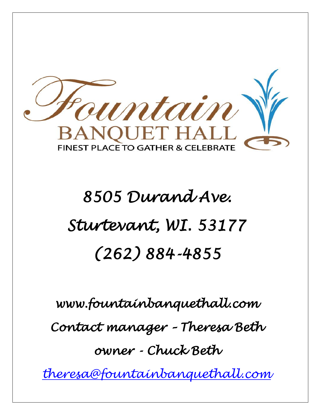mtain **BANQUET HAI FINEST PLACE TO GATHER & CELEBRAT** 

 $\overline{\phantom{a}}$ 

 $\vert$ 

 $\overline{\phantom{a}}$ 

# *8505 Durand Ave. Sturtevant, WI. 53177 (262) 884-4855*

*www.fountainbanquethall.com Contact manager – Theresa Beth owner - Chuck Beth* 

*[theresa@fountainbanquethall.com](mailto:chuck@fountainbanquethall.com)*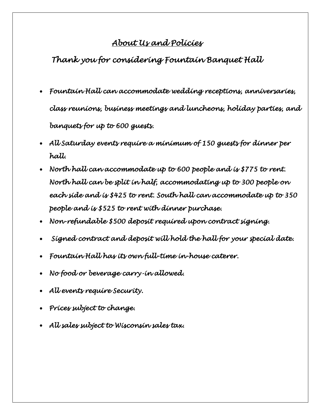## *About Us and Policies*

*Thank you for considering Fountain Banquet Hall* 

- *Fountain Hall can accommodate wedding receptions, anniversaries, class reunions, business meetings and luncheons, holiday parties, and banquets for up to 600 guests.*
- *All Saturday events require a minimum of 150 guests for dinner per hall.*
- *North hall can accommodate up to 600 people and is \$775 to rent. North hall can be split in half, accommodating up to 300 people on each side and is \$425 to rent. South hall can accommodate up to 350 people and is \$525 to rent with dinner purchase.*
- *Non-refundable \$500 deposit required upon contract signing.*
- • *Signed contract and deposit will hold the hall for your special date.*
- *Fountain Hall has its own full-time in-house caterer.*
- *No food or beverage carry-in allowed.*
- *All events require Security.*
- *Prices subject to change.*

• *All sales subject to Wisconsin sales tax.*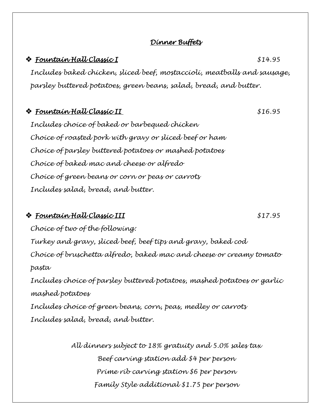### *Dinner Buffets*

### ❖ *Fountain Hall Classic I \$14.95*

*Includes baked chicken, sliced beef, mostaccioli, meatballs and sausage, parsley buttered potatoes, green beans, salad, bread, and butter.*

### ❖ *Fountain Hall Classic II \$16.95*

*Includes choice of baked or barbequed chicken Choice of roasted pork with gravy or sliced beef or ham Choice of parsley buttered potatoes or mashed potatoes Choice of baked mac and cheese or alfredo Choice of green beans or corn or peas or carrots Includes salad, bread, and butter.* 

### ❖ *Fountain Hall Classic III \$17.95*

*Choice of two of the following: Turkey and gravy, sliced beef, beef tips and gravy, baked cod Choice of bruschetta alfredo, baked mac and cheese or creamy tomato pasta Includes choice of parsley buttered potatoes, mashed potatoes or garlic mashed potatoes Includes choice of green beans, corn, peas, medley or carrots Includes salad, bread, and butter.* 

> *All dinners subject to 18% gratuity and 5.0% sales tax Beef carving station add \$4 per person Prime rib carving station \$6 per person Family Style additional \$1.75 per person*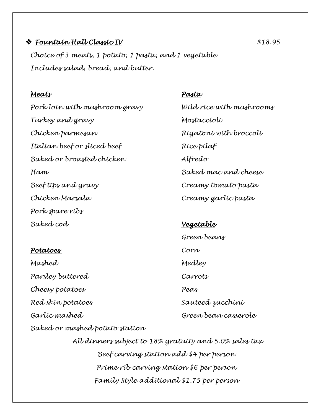### ❖ *Fountain Hall Classic IV \$18.95*

*Choice of 3 meats, 1 potato, 1 pasta, and 1 vegetable Includes salad, bread, and butter.*

### *Meats Pasta*

*Turkey and gravy Mostaccioli Chicken parmesan Rigatoni with broccoli Italian beef or sliced beef Rice pilaf Baked or broasted chicken Alfredo Ham Baked mac and cheese Beef tips and gravy Creamy tomato pasta Chicken Marsala Creamy garlic pasta Pork spare ribs Baked cod Vegetable* 

### *Potatoes Corn*

*Mashed Medley Parsley buttered Carrots Cheesy potatoes Peas Red skin potatoes Sauteed zucchini Garlic mashed Green bean casserole Baked or mashed potato station*

*Pork loin with mushroom gravy Wild rice with mushrooms*

# *Green beans*

*All dinners subject to 18% gratuity and 5.0% sales tax Beef carving station add \$4 per person Prime rib carving station \$6 per person Family Style additional \$1.75 per person*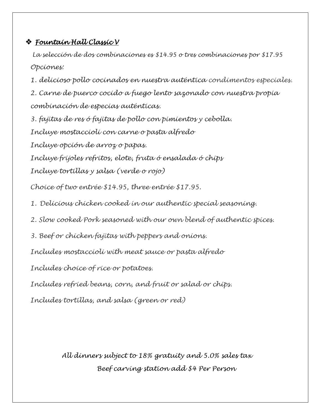### ❖ *Fountain Hall Classic V*

*La selección de dos combinaciones es \$14.95 o tres combinaciones por \$17.95 Opciones:* 

*1. delicioso pollo cocinados en nuestra auténtica condimentos especiales.*

*2. Carne de puerco cocido a fuego lento sazonado con nuestra propia combinación de especias auténticas.*

*3. fajitas de res ó fajitas de pollo con pimientos y cebolla. Incluye mostaccioli con carne o pasta alfredo Incluye opción de arroz o papas. Incluye frijoles refritos, elote, fruta ó ensalada ó chips Incluye tortillas y salsa (verde o rojo)*

*Choice of two entrée \$14.95, three entrée \$17.95.*

*1. Delicious chicken cooked in our authentic special seasoning.*

*2. Slow cooked Pork seasoned with our own blend of authentic spices.*

*3. Beef or chicken fajitas with peppers and onions.*

*Includes mostaccioli with meat sauce or pasta alfredo*

*Includes choice of rice or potatoes.*

*Includes refried beans, corn, and fruit or salad or chips.*

*Includes tortillas, and salsa (green or red)*

*All dinners subject to 18% gratuity and 5.0% sales tax Beef carving station add \$4 Per Person*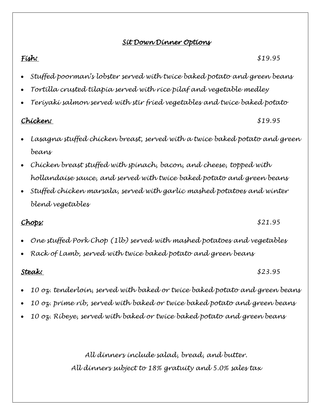### *Sit Down Dinner Options*

*Fish: \$19.95* 

- *Stuffed poorman's lobster served with twice baked potato and green beans*
- *Tortilla crusted tilapia served with rice pilaf and vegetable medley*
- *Teriyaki salmon served with stir fried vegetables and twice baked potato*

### *Chicken: \$19.95*

- *Lasagna stuffed chicken breast, served with a twice baked potato and green beans*
- *Chicken breast stuffed with spinach, bacon, and cheese, topped with hollandaise sauce, and served with twice baked potato and green beans*
- *Stuffed chicken marsala, served with garlic mashed potatoes and winter blend vegetables*

### *Chops: \$21.95*

- *One stuffed Pork Chop (1lb) served with mashed potatoes and vegetables*
- *Rack of Lamb, served with twice baked potato and green beans*

*Steak: \$23.95* 

- *10 oz. tenderloin, served with baked or twice baked potato and green beans*
- *10 oz. prime rib, served with baked or twice baked potato and green beans*
- *10 oz. Ribeye, served with baked or twice baked potato and green beans*

*All dinners include salad, bread, and butter. All dinners subject to 18% gratuity and 5.0% sales tax*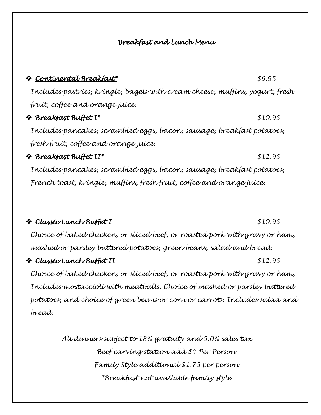### *Breakfast and Lunch Menu*

❖ *Continental Breakfast\* \$9.95* 

# *Includes pastries, kringle, bagels with cream cheese, muffins, yogurt, fresh fruit, coffee and orange juice.*  ❖ *Breakfast Buffet I\* \$10.95 Includes pancakes, scrambled eggs, bacon, sausage, breakfast potatoes, fresh fruit, coffee and orange juice.* ❖ *Breakfast Buffet II\* \$12.95 Includes pancakes, scrambled eggs, bacon, sausage, breakfast potatoes, French toast, kringle, muffins, fresh fruit, coffee and orange juice.* ❖ *Classic Lunch Buffet I \$10.95 Choice of baked chicken, or sliced beef, or roasted pork with gravy or ham, mashed or parsley buttered potatoes, green beans, salad and bread.*

### ❖ *Classic Lunch Buffet II \$12.95*

*Choice of baked chicken, or sliced beef, or roasted pork with gravy or ham, Includes mostaccioli with meatballs. Choice of mashed or parsley buttered potatoes, and choice of green beans or corn or carrots. Includes salad and bread.*

> *All dinners subject to 18% gratuity and 5.0% sales tax Beef carving station add \$4 Per Person Family Style additional \$1.75 per person \*Breakfast not available family style*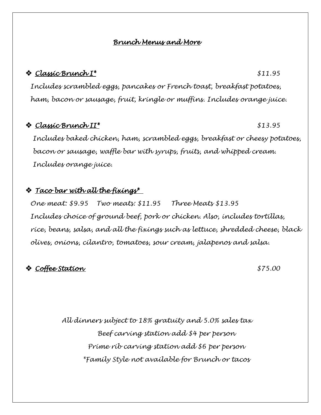### *Brunch Menus and More*

### ❖ *Classic Brunch I\* \$11.95*

*Includes scrambled eggs, pancakes or French toast, breakfast potatoes, ham, bacon or sausage, fruit, kringle or muffins. Includes orange juice.*

### ❖ *Classic Brunch II\* \$13.95*

*Includes baked chicken, ham, scrambled eggs, breakfast or cheesy potatoes, bacon or sausage, waffle bar with syrups, fruits, and whipped cream. Includes orange juice.*

### ❖ *Taco bar with all the fixings\**

*One meat: \$9.95 Two meats: \$11.95 Three Meats \$13.95 Includes choice of ground beef, pork or chicken. Also, includes tortillas, rice, beans, salsa, and all the fixings such as lettuce, shredded cheese, black olives, onions, cilantro, tomatoes, sour cream, jalapenos and salsa.*

### ❖ *Coffee Station \$75.00*

*All dinners subject to 18% gratuity and 5.0% sales tax Beef carving station add \$4 per person Prime rib carving station add \$6 per person \*Family Style not available for Brunch or tacos*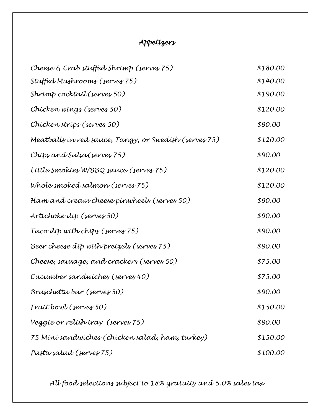### *Appetizers*

| Cheese $\mathcal E$ Crab stuffed Shrimp (serves 75)   | \$180.00 |
|-------------------------------------------------------|----------|
| Stuffed Mushrooms (serves 75)                         | \$140.00 |
| Shrimp cocktail (serves 50)                           | \$190.00 |
| Chícken wings (serves 50)                             | \$120.00 |
| Chícken stríps (serves 50)                            | \$90.00  |
| Meatballs in red sauce, Tangy, or Swedish (serves 75) | \$120.00 |
| Chíps and Salsa(serves 75)                            | \$90.00  |
| Little Smokies W/BBQ sauce (serves 75)                | \$120.00 |
| Whole smoked salmon (serves 75)                       | \$120.00 |
| Ham and cream cheese pinwheels (serves 50)            | \$90.00  |
| Artichoke díp (serves 50)                             | \$90.00  |
| Taco díp wíth chíps (serves 75)                       | \$90.00  |
| Beer cheese díp wíth pretzels (serves 75)             | \$90.00  |
| Cheese, sausage, and crackers (serves 50)             | \$75.00  |
| Cucumber sandwiches (serves 40)                       | \$75.00  |
| Bruschetta bar (serves 50)                            | \$90.00  |
| Fruit bowl (serves 50)                                | \$150.00 |
| Veggíe or relísh tray (serves 75)                     | \$90.00  |
| 75 Míní sandwíches (chícken salad, ham, turkey)       | \$150.00 |
| Pasta salad (serves 75)                               | \$100.00 |
|                                                       |          |

*All food selections subject to 18% gratuity and 5.0% sales tax*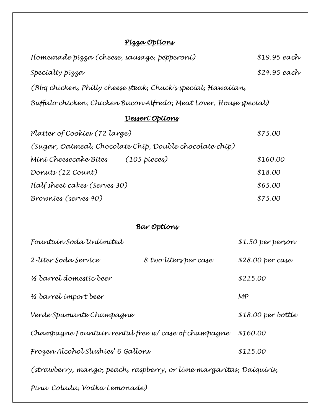# *Pizza Options*

| Homemade þízza (cheese, sausage, pepperoní)                          |                        | $$19.95$ each      |  |
|----------------------------------------------------------------------|------------------------|--------------------|--|
| Specialty pizza                                                      |                        | \$24.95 each       |  |
| (Bbg chícken, Phílly cheese steak, Chuck's specíal, Hawaíían,        |                        |                    |  |
| Buffalo chícken, Chícken Bacon Alfredo, Meat Lover, House specíal)   |                        |                    |  |
| <u>Dessert Options</u>                                               |                        |                    |  |
| Platter of Cookies (72 large)                                        |                        | \$75.00            |  |
| (Sugar, Oatmeal, Chocolate Chip, Double chocolate chip)              |                        |                    |  |
| Míní Cheesecake Bítes                                                | $(105 \text{ pieces})$ | \$160.00           |  |
| Donuts (12 Count)                                                    |                        | \$18.00            |  |
| Half sheet cakes (Serves 30)                                         |                        | \$65.00            |  |
| Brownies (serves 40)                                                 |                        | \$75.00            |  |
|                                                                      |                        |                    |  |
| <u>Bar Options</u>                                                   |                        |                    |  |
| Fountain Soda Unlimited                                              |                        | \$1.50 per person  |  |
| 2-líter Soda Servíce                                                 | 8 two liters per case  | $$28.00$ per case  |  |
| ½ barrel domestic beer                                               |                        | \$225.00           |  |
| 1/2 barrel import beer                                               |                        | MP                 |  |
| Verde Spumante Champagne                                             |                        | \$18.00 per bottle |  |
| Champagne Fountain rental free w/case of champagne                   |                        | \$160.00           |  |
| Frozen Alcohol Slushíes' 6 Gallons                                   |                        | \$125.00           |  |
| (strawberry, mango, peach, raspberry, or líme margarítas, Daíquírís, |                        |                    |  |
| Pína Colada, Vodka Lemonade)                                         |                        |                    |  |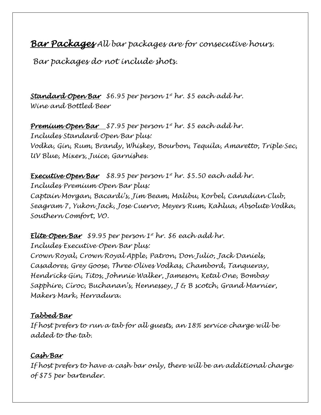*Bar Packages All bar packages are for consecutive hours.*

*Bar packages do not include shots.*

*Standard Open Bar \$6.95 per person 1st hr. \$5 each add hr. Wine and Bottled Beer*

*Premium Open Bar \$7.95 per person 1st hr. \$5 each add hr. Includes Standard Open Bar plus: Vodka, Gin, Rum, Brandy, Whiskey, Bourbon, Tequila, Amaretto, Triple Sec, UV Blue, Mixers, Juice, Garnishes.*

*Executive Open Bar \$8.95 per person 1st hr. \$5.50 each add hr. Includes Premium Open Bar plus: Captain Morgan, Bacardi's, Jim Beam, Malibu, Korbel, Canadian Club, Seagram 7, Yukon Jack, Jose Cuervo, Meyers Rum, Kahlua, Absolute Vodka, Southern Comfort, VO.*

*Elite Open Bar \$9.95 per person 1st hr. \$6 each add hr. Includes Executive Open Bar plus: Crown Royal, Crown Royal Apple, Patron, Don Julio, Jack Daniels, Casadores, Grey Goose, Three Olives Vodkas, Chambord, Tanqueray, Hendricks Gin, Titos, Johnnie Walker, Jameson, Ketal One, Bombay Sapphire, Cîroc, Buchanan's, Hennessey, J & B scotch, Grand Marnier, Makers Mark, Herradura.*

### *Tabbed Bar*

*If host prefers to run a tab for all guests, an 18% service charge will be added to the tab.*

### *Cash Bar*

*If host prefers to have a cash bar only, there will be an additional charge of \$75 per bartender.*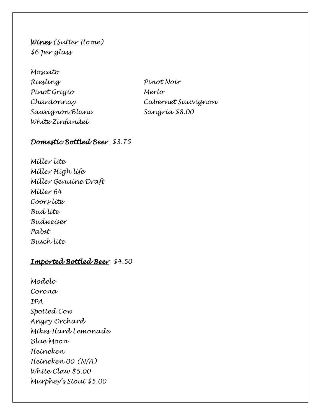*Wines (Sutter Home) \$6 per glass*

*Moscato Riesling Pinot Noir Pinot Grigio Merlo Sauvignon Blanc Sangria \$8.00 White Zinfandel*

*Chardonnay Cabernet Sauvignon*

### *Domestic Bottled Beer \$3.75*

*Miller lite Miller High life Miller Genuine Draft Miller 64 Coors lite Bud lite Budweiser Pabst Busch lite* 

### *Imported Bottled Beer \$4.50*

*Modelo Corona IPA Spotted Cow Angry Orchard Mikes Hard Lemonade Blue Moon Heineken Heineken 00 (N/A) White Claw \$5.00 Murphey's Stout \$5.00*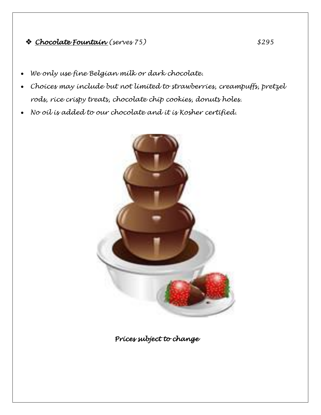### ❖ *Chocolate Fountain (serves 75) \$295*

- *We only use fine Belgian milk or dark chocolate.*
- *Choices may include but not limited to strawberries, creampuffs, pretzel rods, rice crispy treats, chocolate chip cookies, donuts holes.*
- *No oil is added to our chocolate and it is Kosher certified.*



*Prices subject to change*